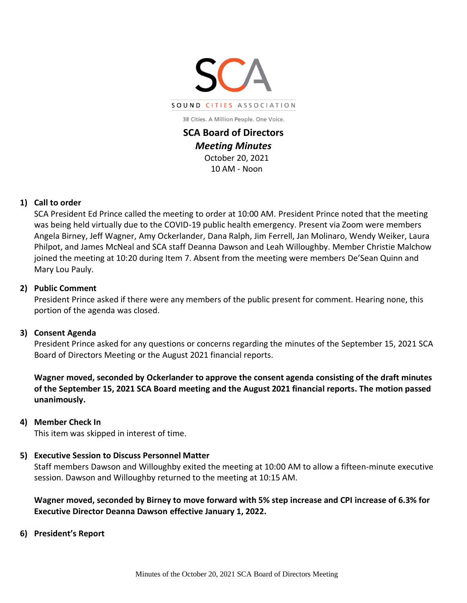

**SCA Board of Directors**  *Meeting Minutes*  October 20, 2021 10 AM - Noon

## **1) Call to order**

SCA President Ed Prince called the meeting to order at 10:00 AM. President Prince noted that the meeting was being held virtually due to the COVID-19 public health emergency. Present via Zoom were members Angela Birney, Jeff Wagner, Amy Ockerlander, Dana Ralph, Jim Ferrell, Jan Molinaro, Wendy Weiker, Laura Philpot, and James McNeal and SCA staff Deanna Dawson and Leah Willoughby. Member Christie Malchow joined the meeting at 10:20 during Item 7. Absent from the meeting were members De'Sean Quinn and Mary Lou Pauly.

#### **2) Public Comment**

President Prince asked if there were any members of the public present for comment. Hearing none, this portion of the agenda was closed.

## **3) Consent Agenda**

President Prince asked for any questions or concerns regarding the minutes of the September 15, 2021 SCA Board of Directors Meeting or the August 2021 financial reports.

**Wagner moved, seconded by Ockerlander to approve the consent agenda consisting of the draft minutes of the September 15, 2021 SCA Board meeting and the August 2021 financial reports. The motion passed unanimously.**

#### **4) Member Check In**

This item was skipped in interest of time.

## **5) Executive Session to Discuss Personnel Matter**

Staff members Dawson and Willoughby exited the meeting at 10:00 AM to allow a fifteen-minute executive session. Dawson and Willoughby returned to the meeting at 10:15 AM.

**Wagner moved, seconded by Birney to move forward with 5% step increase and CPI increase of 6.3% for Executive Director Deanna Dawson effective January 1, 2022.**

**6) President's Report**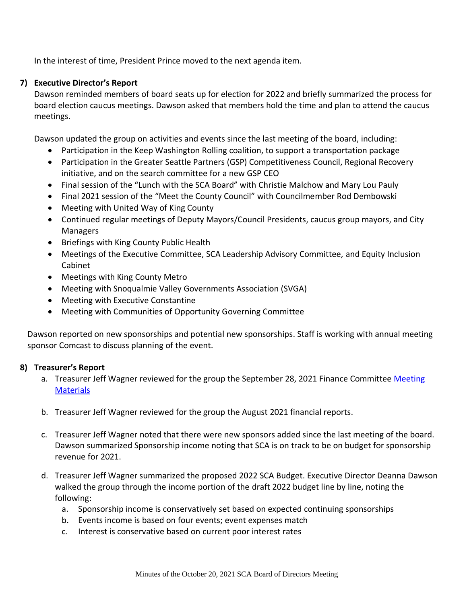In the interest of time, President Prince moved to the next agenda item.

# **7) Executive Director's Report**

Dawson reminded members of board seats up for election for 2022 and briefly summarized the process for board election caucus meetings. Dawson asked that members hold the time and plan to attend the caucus meetings.

Dawson updated the group on activities and events since the last meeting of the board, including:

- Participation in the Keep Washington Rolling coalition, to support a transportation package
- Participation in the Greater Seattle Partners (GSP) Competitiveness Council, Regional Recovery initiative, and on the search committee for a new GSP CEO
- Final session of the "Lunch with the SCA Board" with Christie Malchow and Mary Lou Pauly
- Final 2021 session of the "Meet the County Council" with Councilmember Rod Dembowski
- Meeting with United Way of King County
- Continued regular meetings of Deputy Mayors/Council Presidents, caucus group mayors, and City Managers
- Briefings with King County Public Health
- Meetings of the Executive Committee, SCA Leadership Advisory Committee, and Equity Inclusion Cabinet
- Meetings with King County Metro
- Meeting with Snoqualmie Valley Governments Association (SVGA)
- Meeting with Executive Constantine
- Meeting with Communities of Opportunity Governing Committee

Dawson reported on new sponsorships and potential new sponsorships. Staff is working with annual meeting sponsor Comcast to discuss planning of the event.

## **8) Treasurer's Report**

- a. Treasurer Jeff Wagner reviewed for the group the September 28, 2021 Finance Committee [Meeting](http://soundcities.org/wp-content/uploads/2021/10/September-28-2021-SCA-Finance-Committee-Packet.pdf) **[Materials](http://soundcities.org/wp-content/uploads/2021/10/September-28-2021-SCA-Finance-Committee-Packet.pdf)**
- b. Treasurer Jeff Wagner reviewed for the group the August 2021 financial reports.
- c. Treasurer Jeff Wagner noted that there were new sponsors added since the last meeting of the board. Dawson summarized Sponsorship income noting that SCA is on track to be on budget for sponsorship revenue for 2021.
- d. Treasurer Jeff Wagner summarized the proposed 2022 SCA Budget. Executive Director Deanna Dawson walked the group through the income portion of the draft 2022 budget line by line, noting the following:
	- a. Sponsorship income is conservatively set based on expected continuing sponsorships
	- b. Events income is based on four events; event expenses match
	- c. Interest is conservative based on current poor interest rates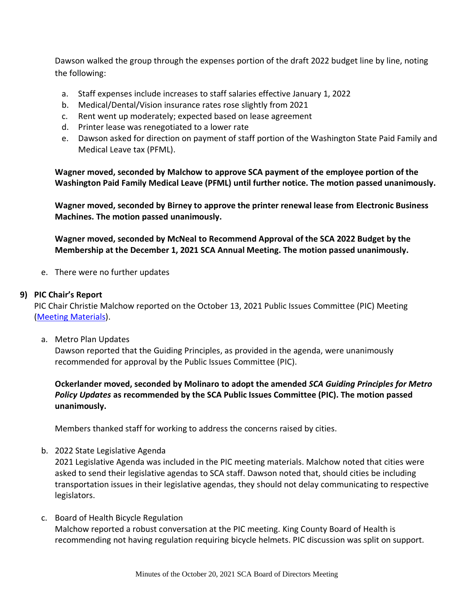Dawson walked the group through the expenses portion of the draft 2022 budget line by line, noting the following:

- a. Staff expenses include increases to staff salaries effective January 1, 2022
- b. Medical/Dental/Vision insurance rates rose slightly from 2021
- c. Rent went up moderately; expected based on lease agreement
- d. Printer lease was renegotiated to a lower rate
- e. Dawson asked for direction on payment of staff portion of the Washington State Paid Family and Medical Leave tax (PFML).

**Wagner moved, seconded by Malchow to approve SCA payment of the employee portion of the Washington Paid Family Medical Leave (PFML) until further notice. The motion passed unanimously.**

**Wagner moved, seconded by Birney to approve the printer renewal lease from Electronic Business Machines. The motion passed unanimously.**

**Wagner moved, seconded by McNeal to Recommend Approval of the SCA 2022 Budget by the Membership at the December 1, 2021 SCA Annual Meeting. The motion passed unanimously.**

e. There were no further updates

#### **9) PIC Chair's Report**

PIC Chair Christie Malchow reported on the October 13, 2021 Public Issues Committee (PIC) Meeting [\(Meeting Materials\)](http://soundcities.org/wp-content/uploads/2021/10/October-13-2021-SCA-PIC-Meeting-Packet.pdf).

a. Metro Plan Updates

Dawson reported that the Guiding Principles, as provided in the agenda, were unanimously recommended for approval by the Public Issues Committee (PIC).

**Ockerlander moved, seconded by Molinaro to adopt the amended** *SCA Guiding Principles for Metro Policy Updates* **as recommended by the SCA Public Issues Committee (PIC). The motion passed unanimously.**

Members thanked staff for working to address the concerns raised by cities.

b. 2022 State Legislative Agenda

2021 Legislative Agenda was included in the PIC meeting materials. Malchow noted that cities were asked to send their legislative agendas to SCA staff. Dawson noted that, should cities be including transportation issues in their legislative agendas, they should not delay communicating to respective legislators.

c. Board of Health Bicycle Regulation

Malchow reported a robust conversation at the PIC meeting. King County Board of Health is recommending not having regulation requiring bicycle helmets. PIC discussion was split on support.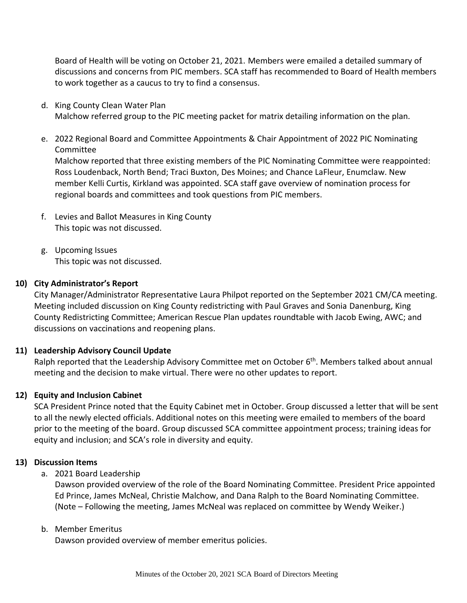Board of Health will be voting on October 21, 2021. Members were emailed a detailed summary of discussions and concerns from PIC members. SCA staff has recommended to Board of Health members to work together as a caucus to try to find a consensus.

- d. King County Clean Water Plan Malchow referred group to the PIC meeting packet for matrix detailing information on the plan.
- e. 2022 Regional Board and Committee Appointments & Chair Appointment of 2022 PIC Nominating Committee Malchow reported that three existing members of the PIC Nominating Committee were reappointed: Ross Loudenback, North Bend; Traci Buxton, Des Moines; and Chance LaFleur, Enumclaw. New member Kelli Curtis, Kirkland was appointed. SCA staff gave overview of nomination process for regional boards and committees and took questions from PIC members.
- f. Levies and Ballot Measures in King County This topic was not discussed.
- g. Upcoming Issues This topic was not discussed.

## **10) City Administrator's Report**

City Manager/Administrator Representative Laura Philpot reported on the September 2021 CM/CA meeting. Meeting included discussion on King County redistricting with Paul Graves and Sonia Danenburg, King County Redistricting Committee; American Rescue Plan updates roundtable with Jacob Ewing, AWC; and discussions on vaccinations and reopening plans.

## **11) Leadership Advisory Council Update**

Ralph reported that the Leadership Advisory Committee met on October 6<sup>th</sup>. Members talked about annual meeting and the decision to make virtual. There were no other updates to report.

## **12) Equity and Inclusion Cabinet**

SCA President Prince noted that the Equity Cabinet met in October. Group discussed a letter that will be sent to all the newly elected officials. Additional notes on this meeting were emailed to members of the board prior to the meeting of the board. Group discussed SCA committee appointment process; training ideas for equity and inclusion; and SCA's role in diversity and equity.

## **13) Discussion Items**

a. 2021 Board Leadership

Dawson provided overview of the role of the Board Nominating Committee. President Price appointed Ed Prince, James McNeal, Christie Malchow, and Dana Ralph to the Board Nominating Committee. (Note – Following the meeting, James McNeal was replaced on committee by Wendy Weiker.)

## b. Member Emeritus

Dawson provided overview of member emeritus policies.